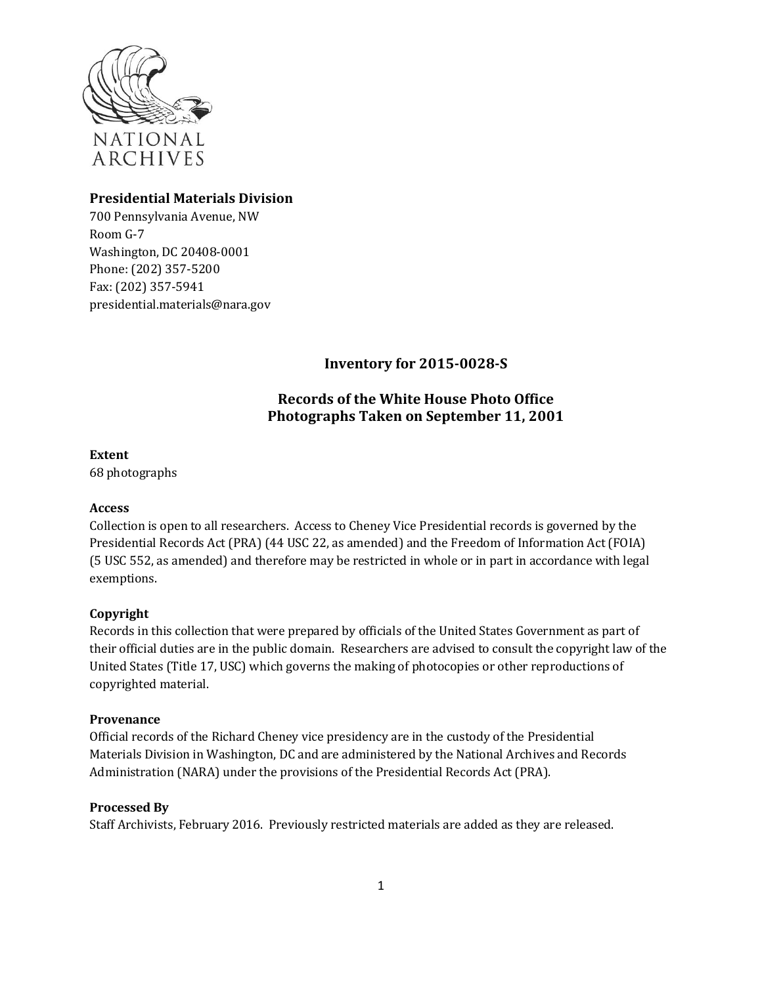

# **Presidential Materials Division**

700 Pennsylvania Avenue, NW Room G-7 Washington, DC 20408-0001 Phone: (202) 357-5[200](mailto:presidential.materials@nara.gov) Fax: (202) 357-5941 [presidential.materials@nara.gov](mailto:presidential.materials@nara.gov)

**Inventory for 2015-0028-S**

# **Records of the White House Photo Office Photographs Taken on September 11, 2001**

**Extent**

68 photographs

## **Access**

Collection is open to all researchers. Access to Cheney Vice Presidential records is governed by the Presidential Records Act (PRA) (44 USC 22, as amended) and the Freedom of Information Act (FOIA) (5 USC 552, as amended) and therefore may be restricted in whole or in part in accordance with legal exemptions.

# **Copyright**

Records in this collection that were prepared by officials of the United States Government as part of their official duties are in the public domain. Researchers are advised to consult the copyright law of the United States (Title 17, USC) which governs the making of photocopies or other reproductions of copyrighted material.

## **Provenance**

Official records of the Richard Cheney vice presidency are in the custody of the Presidential Materials Division in Washington, DC and are administered by the National Archives and Records Administration (NARA) under the provisions of the Presidential Records Act (PRA).

## **Processed By**

Staff Archivists, February 2016. Previously restricted materials are added as they are released.